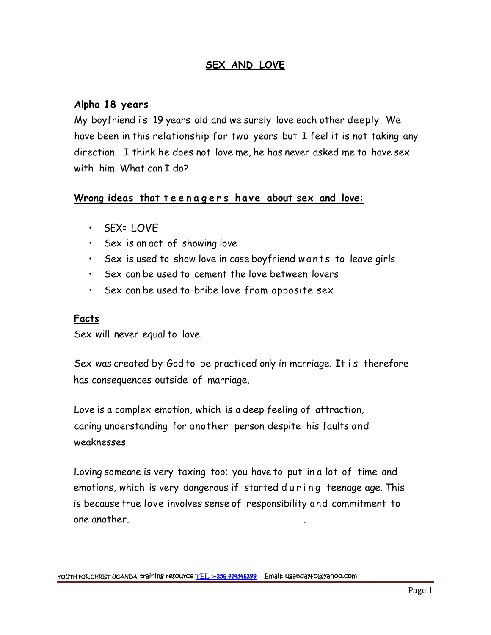## **SEX AND LOVE**

## **Alpha 18 years**

My boyfriend is 19 years old and we surely love each other deeply. We have been in this relationship for two years but I feel it is not taking any direction. I think he does not love me, he has never asked me to have sex with him. What can I do? **i**<br>direction. I think he does not love me, he has never asked me to have<br>with him. What can I do?<br>Wrong ideas that teen agers have about sex and love:

- SEX= LOVE
- Sex is an act of showing love
- Wrong ideas that teenagers have about sex and love:<br>• SEX= LOVE<br>• Sex is an act of showing love<br>• Sex is used to show love in case boyfriend w ants to leave girls
	- Sex can be used to cement the love between lovers
	- Sex can be used to bribe love from opposite sex

### **Facts**

Sex will never equal to love.

Sex was created by God to be practiced only in marriage. It is therefore has consequences outside of marriage.

Love is a complex emotion, which is a deep feeling of attraction, caring understanding for another person despite his faults and weaknesses.

Loving someone is very taxing too; you have to put in a lot of time and emotions, which is very dangerous if started d u r i n g teenage age. This is because true love involves sense of responsibility and commitment to one another. .